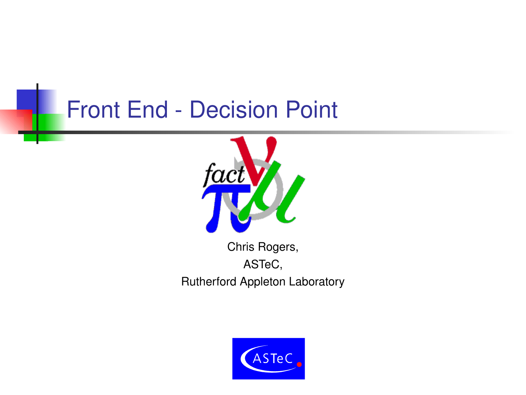#### **Front End - Decision Point**



Chris Rogers, ASTeC, Rutherford Appleton Laboratory

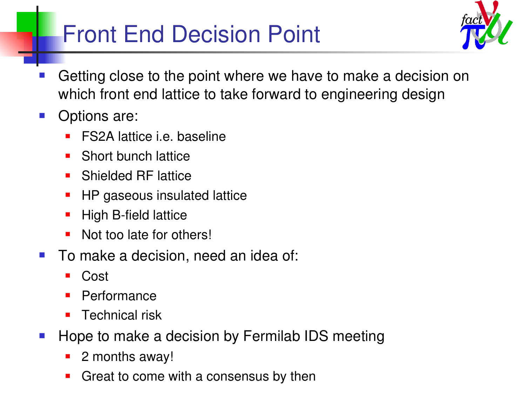## Front End Decision Point



- Getting close to the point where we have to make a decision on which front end lattice to take forward to engineering design
- Options are:
	- FS2A lattice i.e. baseline
	- **Short bunch lattice**
	- **Shielded RF lattice**
	- HP gaseous insulated lattice
	- High B-field lattice
	- Not too late for others!
- To make a decision, need an idea of:
	- Cost
	- Performance
	- **Technical risk**
- Hope to make a decision by Fermilab IDS meeting
	- 2 months away!
	- Great to come with a consensus by then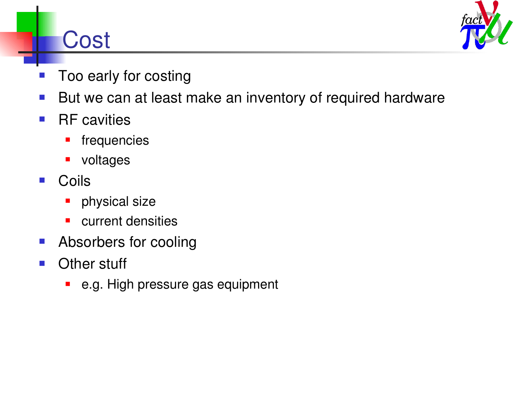## **Cost**



- Too early for costing
- But we can at least make an inventory of required hardware
- $\blacksquare$  RF cavities
	- **frequencies**
	- **voltages**
- Coils
	- **physical size**
	- **E** current densities
- **Absorbers for cooling**
- **Other stuff** 
	- **•** e.g. High pressure gas equipment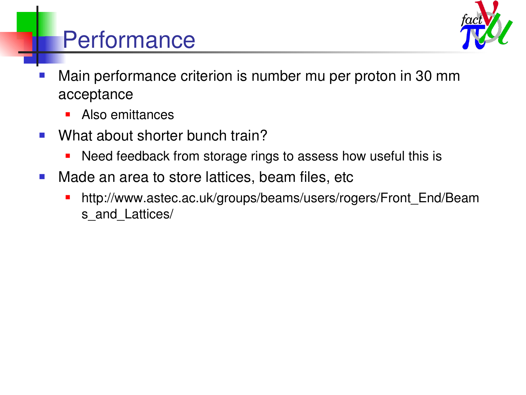

# **Performance**

- Main performance criterion is number mu per proton in 30 mm acceptance
	- **Also emittances**
- **No. 2018** What about shorter bunch train?
	- **Need feedback from storage rings to assess how useful this is**
- **Nade an area to store lattices, beam files, etc** 
	- http://www.astec.ac.uk/groups/beams/users/rogers/Front\_End/Beam s and Lattices/